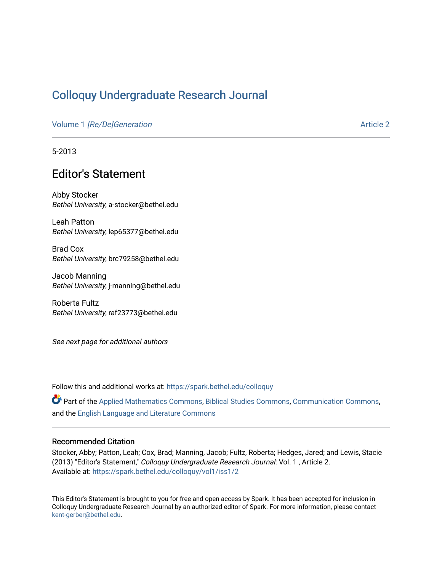## [Colloquy Undergraduate Research Journal](https://spark.bethel.edu/colloquy)

Volume 1 [\[Re/De\]Generation](https://spark.bethel.edu/colloquy/vol1) [Article 2](https://spark.bethel.edu/colloquy/vol1/iss1/2) and Article 2

5-2013

## Editor's Statement

Abby Stocker Bethel University, a-stocker@bethel.edu

Leah Patton Bethel University, lep65377@bethel.edu

Brad Cox Bethel University, brc79258@bethel.edu

Jacob Manning Bethel University, j-manning@bethel.edu

Roberta Fultz Bethel University, raf23773@bethel.edu

See next page for additional authors

Follow this and additional works at: [https://spark.bethel.edu/colloquy](https://spark.bethel.edu/colloquy?utm_source=spark.bethel.edu%2Fcolloquy%2Fvol1%2Fiss1%2F2&utm_medium=PDF&utm_campaign=PDFCoverPages) 

Part of the [Applied Mathematics Commons](http://network.bepress.com/hgg/discipline/115?utm_source=spark.bethel.edu%2Fcolloquy%2Fvol1%2Fiss1%2F2&utm_medium=PDF&utm_campaign=PDFCoverPages), [Biblical Studies Commons](http://network.bepress.com/hgg/discipline/539?utm_source=spark.bethel.edu%2Fcolloquy%2Fvol1%2Fiss1%2F2&utm_medium=PDF&utm_campaign=PDFCoverPages), [Communication Commons](http://network.bepress.com/hgg/discipline/325?utm_source=spark.bethel.edu%2Fcolloquy%2Fvol1%2Fiss1%2F2&utm_medium=PDF&utm_campaign=PDFCoverPages), and the [English Language and Literature Commons](http://network.bepress.com/hgg/discipline/455?utm_source=spark.bethel.edu%2Fcolloquy%2Fvol1%2Fiss1%2F2&utm_medium=PDF&utm_campaign=PDFCoverPages) 

#### Recommended Citation

Stocker, Abby; Patton, Leah; Cox, Brad; Manning, Jacob; Fultz, Roberta; Hedges, Jared; and Lewis, Stacie (2013) "Editor's Statement," Colloquy Undergraduate Research Journal: Vol. 1 , Article 2. Available at: [https://spark.bethel.edu/colloquy/vol1/iss1/2](https://spark.bethel.edu/colloquy/vol1/iss1/2?utm_source=spark.bethel.edu%2Fcolloquy%2Fvol1%2Fiss1%2F2&utm_medium=PDF&utm_campaign=PDFCoverPages) 

This Editor's Statement is brought to you for free and open access by Spark. It has been accepted for inclusion in Colloquy Undergraduate Research Journal by an authorized editor of Spark. For more information, please contact [kent-gerber@bethel.edu](mailto:kent-gerber@bethel.edu).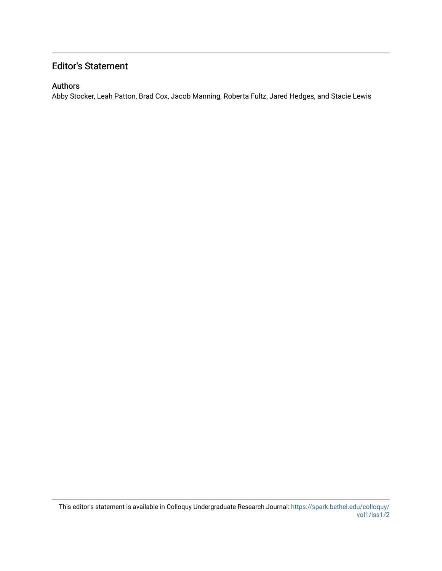### Editor's Statement

#### Authors

Abby Stocker, Leah Patton, Brad Cox, Jacob Manning, Roberta Fultz, Jared Hedges, and Stacie Lewis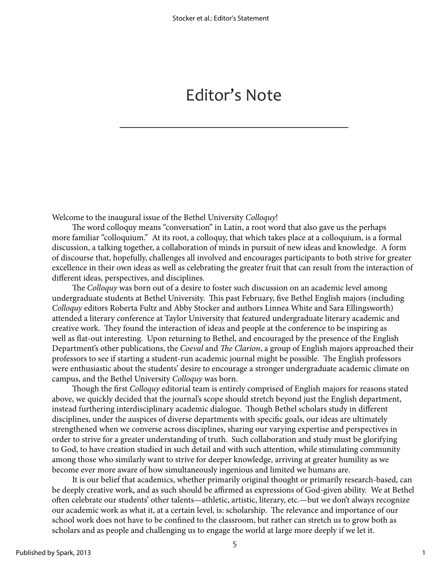# Editor's Note

Welcome to the inaugural issue of the Bethel University *Colloquy*!

The word colloquy means "conversation" in Latin, a root word that also gave us the perhaps more familiar "colloquium." At its root, a colloquy, that which takes place at a colloquium, is a formal discussion, a talking together, a collaboration of minds in pursuit of new ideas and knowledge. A form of discourse that, hopefully, challenges all involved and encourages participants to both strive for greater excellence in their own ideas as well as celebrating the greater fruit that can result from the interaction of different ideas, perspectives, and disciplines.

The *Colloquy* was born out of a desire to foster such discussion on an academic level among undergraduate students at Bethel University. This past February, five Bethel English majors (including *Colloquy* editors Roberta Fultz and Abby Stocker and authors Linnea White and Sara Ellingsworth) attended a literary conference at Taylor University that featured undergraduate literary academic and creative work. They found the interaction of ideas and people at the conference to be inspiring as well as flat-out interesting. Upon returning to Bethel, and encouraged by the presence of the English Department's other publications, the *Coeval* and *The Clarion*, a group of English majors approached their professors to see if starting a student-run academic journal might be possible. The English professors were enthusiastic about the students' desire to encourage a stronger undergraduate academic climate on campus, and the Bethel University *Colloquy* was born.

Though the first *Colloquy* editorial team is entirely comprised of English majors for reasons stated above, we quickly decided that the journal's scope should stretch beyond just the English department, instead furthering interdisciplinary academic dialogue. Though Bethel scholars study in different disciplines, under the auspices of diverse departments with specific goals, our ideas are ultimately strengthened when we converse across disciplines, sharing our varying expertise and perspectives in order to strive for a greater understanding of truth. Such collaboration and study must be glorifying to God, to have creation studied in such detail and with such attention, while stimulating community among those who similarly want to strive for deeper knowledge, arriving at greater humility as we become ever more aware of how simultaneously ingenious and limited we humans are.

It is our belief that academics, whether primarily original thought or primarily research-based, can be deeply creative work, and as such should be affirmed as expressions of God-given ability. We at Bethel often celebrate our students' other talents—athletic, artistic, literary, etc.—but we don't always recognize our academic work as what it, at a certain level, is: scholarship. The relevance and importance of our school work does not have to be confined to the classroom, but rather can stretch us to grow both as scholars and as people and challenging us to engage the world at large more deeply if we let it.